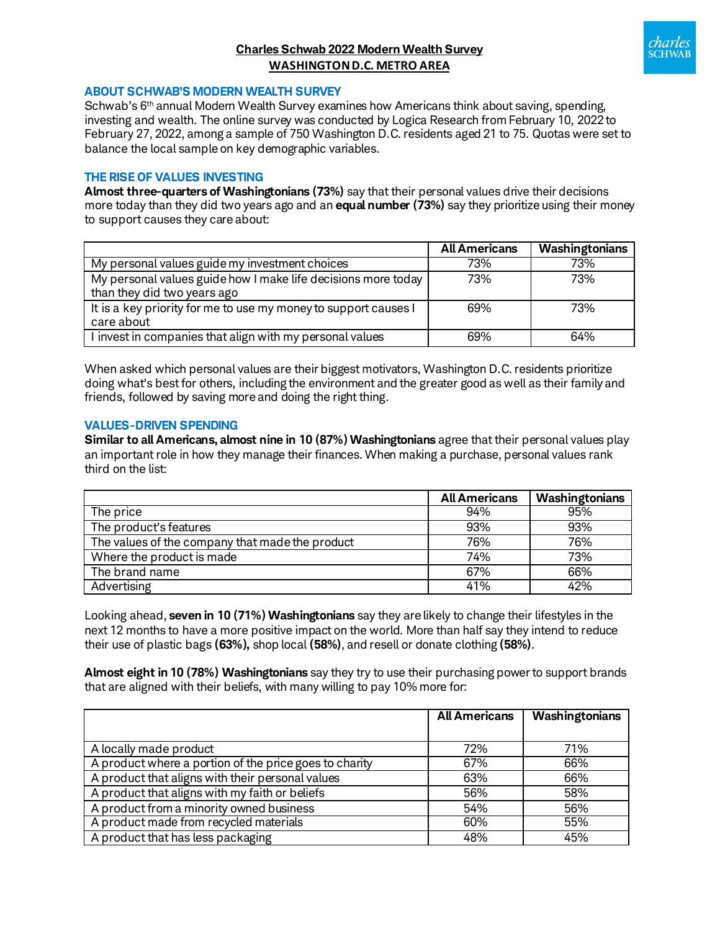# **Charles Schwab 2022 Modern Wealth Survey WASHINGTON D.C. METRO AREA**



#### **ABOUT SCHWAB'S MODERN WEALTH SURVEY**

Schwab's 6th annual Modern Wealth Survey examines how Americans think about saving, spending, investing and wealth. The online survey was conducted by Logica Research from February 10, 2022 to February 27, 2022, among a sample of 750 Washington D.C. residents aged 21 to 75. Quotas were set to balance the local sample on key demographic variables.

#### **THE RISE OF VALUES INVESTING**

**Almost three-quarters of Washingtonians (73%)** say that their personal values drive their decisions more today than they did two years ago and an **equal number (73%)** say they prioritize using their money to support causes they care about:

|                                                                 | <b>All Americans</b> | Washingtonians |
|-----------------------------------------------------------------|----------------------|----------------|
| My personal values guide my investment choices                  | 73%                  | 73%            |
| My personal values guide how I make life decisions more today   | 73%                  | 73%            |
| than they did two years ago                                     |                      |                |
| It is a key priority for me to use my money to support causes I | 69%                  | 73%            |
| care about                                                      |                      |                |
| I invest in companies that align with my personal values        | 69%                  | 64%            |

When asked which personal values are their biggest motivators, Washington D.C. residents prioritize doing what's best for others, including the environment and the greater good as well as their family and friends, followed by saving more and doing the right thing.

#### **VALUES-DRIVEN SPENDING**

**Similar to all Americans, almost nine in 10 (87%) Washingtonians** agree that their personal values play an important role in how they manage their finances. When making a purchase, personal values rank third on the list:

|                                                 | <b>All Americans</b> | Washingtonians |
|-------------------------------------------------|----------------------|----------------|
| The price                                       | 94%                  | 95%            |
| The product's features                          | 93%                  | 93%            |
| The values of the company that made the product | 76%                  | 76%            |
| Where the product is made                       | 74%                  | 73%            |
| The brand name                                  | 67%                  | 66%            |
| Advertising                                     | 41%                  | 42%            |

Looking ahead, **seven in 10 (71%) Washingtonians** say they are likely to change their lifestyles in the next 12 months to have a more positive impact on the world. More than half say they intend to reduce their use of plastic bags **(63%),** shop local **(58%)**, and resell or donate clothing **(58%)**.

**Almost eight in 10 (78%) Washingtonians** say they try to use their purchasing power to support brands that are aligned with their beliefs, with many willing to pay 10% more for:

|                                                        | <b>All Americans</b> | Washingtonians |
|--------------------------------------------------------|----------------------|----------------|
|                                                        |                      |                |
| A locally made product                                 | 72%                  | 71%            |
| A product where a portion of the price goes to charity | 67%                  | 66%            |
| A product that aligns with their personal values       | 63%                  | 66%            |
| A product that aligns with my faith or beliefs         | 56%                  | 58%            |
| A product from a minority owned business               | 54%                  | 56%            |
| A product made from recycled materials                 | 60%                  | 55%            |
| A product that has less packaging                      | 48%                  | 45%            |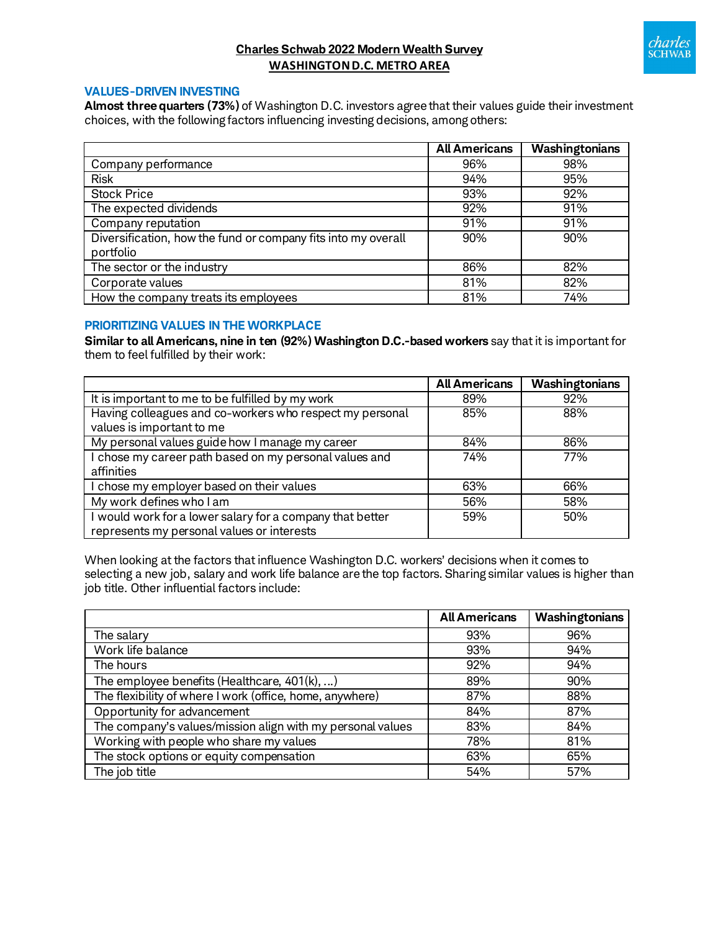

# **Charles Schwab 2022 Modern Wealth Survey WASHINGTON D.C. METRO AREA**

### **VALUES-DRIVEN INVESTING**

**Almost three quarters (73%)** of Washington D.C. investors agree that their values guide their investment choices, with the following factors influencing investing decisions, among others:

|                                                                            | <b>All Americans</b> | <b>Washingtonians</b> |
|----------------------------------------------------------------------------|----------------------|-----------------------|
| Company performance                                                        | 96%                  | 98%                   |
| <b>Risk</b>                                                                | 94%                  | 95%                   |
| <b>Stock Price</b>                                                         | 93%                  | 92%                   |
| The expected dividends                                                     | 92%                  | 91%                   |
| Company reputation                                                         | 91%                  | 91%                   |
| Diversification, how the fund or company fits into my overall<br>portfolio | 90%                  | 90%                   |
| The sector or the industry                                                 | 86%                  | 82%                   |
| Corporate values                                                           | 81%                  | 82%                   |
| How the company treats its employees                                       | 81%                  | 74%                   |

### **PRIORITIZING VALUES IN THE WORKPLACE**

**Similar to all Americans, nine in ten (92%) Washington D.C.-based workers** say that it is important for them to feel fulfilled by their work:

|                                                           | <b>All Americans</b> | Washingtonians |
|-----------------------------------------------------------|----------------------|----------------|
| It is important to me to be fulfilled by my work          | 89%                  | 92%            |
| Having colleagues and co-workers who respect my personal  | 85%                  | 88%            |
| values is important to me                                 |                      |                |
| My personal values guide how I manage my career           | 84%                  | 86%            |
| I chose my career path based on my personal values and    | 74%                  | 77%            |
| affinities                                                |                      |                |
| I chose my employer based on their values                 | 63%                  | 66%            |
| My work defines who I am                                  | 56%                  | 58%            |
| I would work for a lower salary for a company that better | 59%                  | 50%            |
| represents my personal values or interests                |                      |                |

When looking at the factors that influence Washington D.C. workers' decisions when it comes to selecting a new job, salary and work life balance are the top factors. Sharing similar values is higher than job title. Other influential factors include:

|                                                            | <b>All Americans</b> | Washingtonians |
|------------------------------------------------------------|----------------------|----------------|
| The salary                                                 | 93%                  | 96%            |
| Work life balance                                          | 93%                  | 94%            |
| The hours                                                  | 92%                  | 94%            |
| The employee benefits (Healthcare, $401(k), $ )            | 89%                  | 90%            |
| The flexibility of where I work (office, home, anywhere)   | 87%                  | 88%            |
| Opportunity for advancement                                | 84%                  | 87%            |
| The company's values/mission align with my personal values | 83%                  | 84%            |
| Working with people who share my values                    | 78%                  | 81%            |
| The stock options or equity compensation                   | 63%                  | 65%            |
| The job title                                              | 54%                  | 57%            |